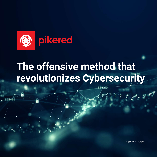

# **The offensive method that revolutionizes Cybersecurity**

884.60

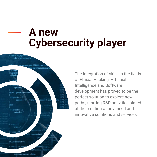# **A new Cybersecurity player**



The integration of skills in the fields of Ethical Hacking, Artificial Intelligence and Software development has proved to be the perfect solution to explore new paths, starting R&D activities aimed at the creation of advanced and innovative solutions and services.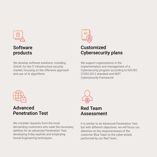

## Software products

We develop software solutions, including ZAIUX, for the IT infrastructure security market, focusing on the offensive approach and use of AI algorithms.



# **Customized** Cybersecurity plans

We support organizations in the implementation and management of a Cybersecurity program according to ISO/IEC 27032:2012 standard and NIST Cybersecurity Framework.



#### Advanced Penetration Test

We consider requests from the most demanding customers who seek the necessary abilities for an advanced Penetration Test, developing 0-day exploits and employing Social Engineering techniques.



## Red Team Assessment

It is similar to an Advanced Penetration Test, but with different objectives: we will focus our attention on the responsiveness of the customer Blue Team to the cyber-attack performed by our Red Team.